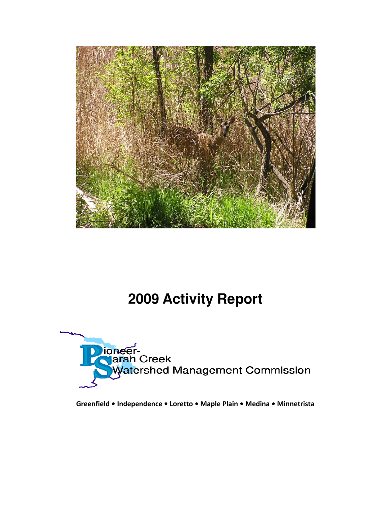

# **2009 Activity Report**



**Greenfield • Independence • Loretto • Maple Plain • Medina • Minnetrista**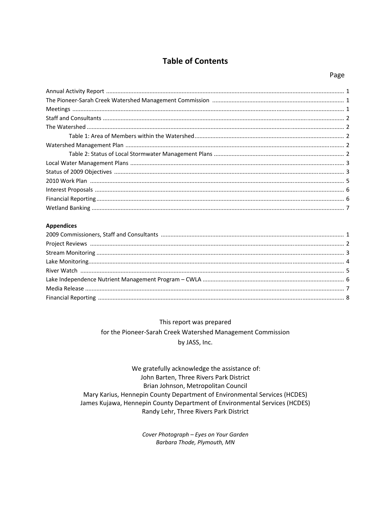## **Table of Contents**

#### **Appendices**

This report was prepared for the Pioneer-Sarah Creek Watershed Management Commission by JASS, Inc.

We gratefully acknowledge the assistance of: John Barten, Three Rivers Park District Brian Johnson, Metropolitan Council Mary Karius, Hennepin County Department of Environmental Services (HCDES) James Kujawa, Hennepin County Department of Environmental Services (HCDES) Randy Lehr, Three Rivers Park District

> Cover Photograph - Eyes on Your Garden Barbara Thode, Plymouth, MN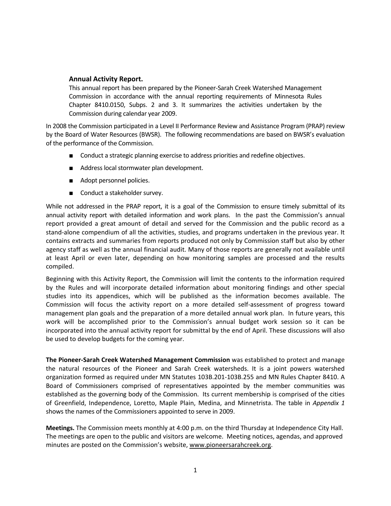### **Annual Activity Report.**

This annual report has been prepared by the Pioneer‐Sarah Creek Watershed Management Commission in accordance with the annual reporting requirements of Minnesota Rules Chapter 8410.0150, Subps. 2 and 3. It summarizes the activities undertaken by the Commission during calendar year 2009.

In 2008 the Commission participated in a Level II Performance Review and Assistance Program (PRAP) review by the Board of Water Resources (BWSR). The following recommendations are based on BWSR's evaluation of the performance of the Commission.

- Conduct a strategic planning exercise to address priorities and redefine objectives.
- Address local stormwater plan development.
- Adopt personnel policies.
- Conduct a stakeholder survey.

While not addressed in the PRAP report, it is a goal of the Commission to ensure timely submittal of its annual activity report with detailed information and work plans. In the past the Commission's annual report provided a great amount of detail and served for the Commission and the public record as a stand‐alone compendium of all the activities, studies, and programs undertaken in the previous year. It contains extracts and summaries from reports produced not only by Commission staff but also by other agency staff as well as the annual financial audit. Many of those reports are generally not available until at least April or even later, depending on how monitoring samples are processed and the results compiled.

Beginning with this Activity Report, the Commission will limit the contents to the information required by the Rules and will incorporate detailed information about monitoring findings and other special studies into its appendices, which will be published as the information becomes available. The Commission will focus the activity report on a more detailed self‐assessment of progress toward management plan goals and the preparation of a more detailed annual work plan. In future years, this work will be accomplished prior to the Commission's annual budget work session so it can be incorporated into the annual activity report for submittal by the end of April. These discussions will also be used to develop budgets for the coming year.

**The Pioneer‐Sarah Creek Watershed Management Commission** was established to protect and manage the natural resources of the Pioneer and Sarah Creek watersheds. It is a joint powers watershed organization formed as required under MN Statutes 103B.201‐103B.255 and MN Rules Chapter 8410. A Board of Commissioners comprised of representatives appointed by the member communities was established as the governing body of the Commission. Its current membership is comprised of the cities of Greenfield, Independence, Loretto, Maple Plain, Medina, and Minnetrista. The table in *Appendix 1* shows the names of the Commissioners appointed to serve in 2009.

**Meetings.** The Commission meets monthly at 4:00 p.m. on the third Thursday at Independence City Hall. The meetings are open to the public and visitors are welcome. Meeting notices, agendas, and approved minutes are posted on the Commission's website, www.pioneersarahcreek.org.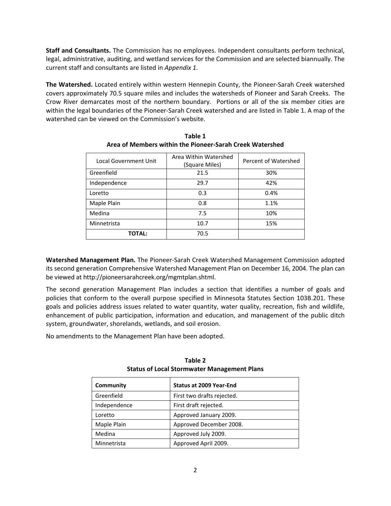**Staff and Consultants.** The Commission has no employees. Independent consultants perform technical, legal, administrative, auditing, and wetland services for the Commission and are selected biannually. The current staff and consultants are listed in *Appendix 1.*

**The Watershed.** Located entirely within western Hennepin County, the Pioneer‐Sarah Creek watershed covers approximately 70.5 square miles and includes the watersheds of Pioneer and Sarah Creeks. The Crow River demarcates most of the northern boundary. Portions or all of the six member cities are within the legal boundaries of the Pioneer‐Sarah Creek watershed and are listed in Table 1. A map of the watershed can be viewed on the Commission's website.

| Local Government Unit | Area Within Watershed<br>(Square Miles) | Percent of Watershed |
|-----------------------|-----------------------------------------|----------------------|
| Greenfield            | 21.5                                    | 30%                  |
| Independence          | 29.7                                    | 42%                  |
| Loretto               | 0.3                                     | 0.4%                 |
| Maple Plain           | 0.8                                     | 1.1%                 |
| Medina                | 7.5                                     | 10%                  |
| Minnetrista           | 10.7                                    | 15%                  |
| <b>TOTAL:</b>         | 70.5                                    |                      |

**Table 1 Area of Members within the Pioneer‐Sarah Creek Watershed**

**Watershed Management Plan.** The Pioneer‐Sarah Creek Watershed Management Commission adopted its second generation Comprehensive Watershed Management Plan on December 16, 2004. The plan can be viewed at http://pioneersarahcreek.org/mgmtplan.shtml.

The second generation Management Plan includes a section that identifies a number of goals and policies that conform to the overall purpose specified in Minnesota Statutes Section 103B.201. These goals and policies address issues related to water quantity, water quality, recreation, fish and wildlife, enhancement of public participation, information and education, and management of the public ditch system, groundwater, shorelands, wetlands, and soil erosion.

No amendments to the Management Plan have been adopted.

| Community    | <b>Status at 2009 Year-End</b> |
|--------------|--------------------------------|
| Greenfield   | First two drafts rejected.     |
| Independence | First draft rejected.          |
| Loretto      | Approved January 2009.         |
| Maple Plain  | Approved December 2008.        |
| Medina       | Approved July 2009.            |
| Minnetrista  | Approved April 2009.           |

**Table 2 Status of Local Stormwater Management Plans**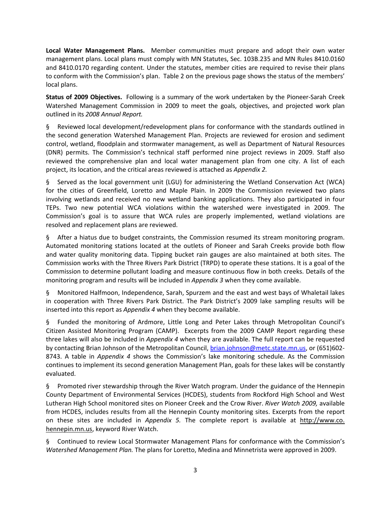**Local Water Management Plans.**  Member communities must prepare and adopt their own water management plans. Local plans must comply with MN Statutes, Sec. 103B.235 and MN Rules 8410.0160 and 8410.0170 regarding content. Under the statutes, member cities are required to revise their plans to conform with the Commission's plan. Table 2 on the previous page shows the status of the members' local plans.

**Status of 2009 Objectives.** Following is a summary of the work undertaken by the Pioneer‐Sarah Creek Watershed Management Commission in 2009 to meet the goals, objectives, and projected work plan outlined in its *2008 Annual Report.*

§ Reviewed local development/redevelopment plans for conformance with the standards outlined in the second generation Watershed Management Plan. Projects are reviewed for erosion and sediment control, wetland, floodplain and stormwater management, as well as Department of Natural Resources (DNR) permits. The Commission's technical staff performed nine project reviews in 2009. Staff also reviewed the comprehensive plan and local water management plan from one city. A list of each project, its location, and the critical areas reviewed is attached as *Appendix 2.*

§ Served as the local government unit (LGU) for administering the Wetland Conservation Act (WCA) for the cities of Greenfield, Loretto and Maple Plain. In 2009 the Commission reviewed two plans involving wetlands and received no new wetland banking applications. They also participated in four TEPs. Two new potential WCA violations within the watershed were investigated in 2009. The Commission's goal is to assure that WCA rules are properly implemented, wetland violations are resolved and replacement plans are reviewed.

§ After a hiatus due to budget constraints, the Commission resumed its stream monitoring program. Automated monitoring stations located at the outlets of Pioneer and Sarah Creeks provide both flow and water quality monitoring data. Tipping bucket rain gauges are also maintained at both sites. The Commission works with the Three Rivers Park District (TRPD) to operate these stations. It is a goal of the Commission to determine pollutant loading and measure continuous flow in both creeks. Details of the monitoring program and results will be included in *Appendix 3* when they come available.

§ Monitored Halfmoon, Independence, Sarah, Spurzem and the east and west bays of Whaletail lakes in cooperation with Three Rivers Park District. The Park District's 2009 lake sampling results will be inserted into this report as *Appendix 4* when they become available.

§ Funded the monitoring of Ardmore, Little Long and Peter Lakes through Metropolitan Council's Citizen Assisted Monitoring Program (CAMP). Excerpts from the 2009 CAMP Report regarding these three lakes will also be included in *Appendix 4* when they are available. The full report can be requested by contacting Brian Johnson of the Metropolitan Council, brian.johnson@metc.state.mn.us, or (651)602-8743. A table in *Appendix 4* shows the Commission's lake monitoring schedule. As the Commission continues to implement its second generation Management Plan, goals for these lakes will be constantly evaluated.

§ Promoted river stewardship through the River Watch program. Under the guidance of the Hennepin County Department of Environmental Services (HCDES), students from Rockford High School and West Lutheran High School monitored sites on Pioneer Creek and the Crow River. *River Watch 2009,* available from HCDES, includes results from all the Hennepin County monitoring sites. Excerpts from the report on these sites are included in *Appendix 5.* The complete report is available at http://www.co. hennepin.mn.us, keyword River Watch.

§ Continued to review Local Stormwater Management Plans for conformance with the Commission's *Watershed Management Plan.* The plans for Loretto, Medina and Minnetrista were approved in 2009.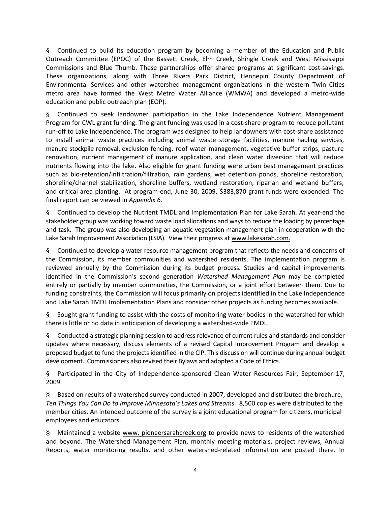§ Continued to build its education program by becoming a member of the Education and Public Outreach Committee (EPOC) of the Bassett Creek, Elm Creek, Shingle Creek and West Mississippi Commissions and Blue Thumb. These partnerships offer shared programs at significant cost‐savings. These organizations, along with Three Rivers Park District, Hennepin County Department of Environmental Services and other watershed management organizations in the western Twin Cities metro area have formed the West Metro Water Alliance (WMWA) and developed a metro‐wide education and public outreach plan (EOP).

§ Continued to seek landowner participation in the Lake Independence Nutrient Management Program for CWL grant funding. The grant funding was used in a cost-share program to reduce pollutant run‐off to Lake Independence. The program was designed to help landowners with cost‐share assistance to install animal waste practices including animal waste storage facilities, manure hauling services, manure stockpile removal, exclusion fencing, roof water management, vegetative buffer strips, pasture renovation, nutrient management of manure application, and clean water diversion that will reduce nutrients flowing into the lake. Also eligible for grant funding were urban best management practices such as bio-retention/infiltration/filtration, rain gardens, wet detention ponds, shoreline restoration, shoreline/channel stabilization, shoreline buffers, wetland restoration, riparian and wetland buffers, and critical area planting. At program‐end, June 30, 2009, \$383,870 grant funds were expended. The final report can be viewed in *Appendix 6.*

§ Continued to develop the Nutrient TMDL and Implementation Plan for Lake Sarah. At year‐end the stakeholder group was working toward waste load allocations and ways to reduce the loading by percentage and task. The group was also developing an aquatic vegetation management plan in cooperation with the Lake Sarah Improvement Association (LSIA). View their progress at www.lakesarah.com.

§ Continued to develop a water resource management program that reflects the needs and concerns of the Commission, its member communities and watershed residents. The implementation program is reviewed annually by the Commission during its budget process. Studies and capital improvements identified in the Commission's second generation *Watershed Management Plan* may be completed entirely or partially by member communities, the Commission, or a joint effort between them. Due to funding constraints, the Commission will focus primarily on projects identified in the Lake Independence and Lake Sarah TMDL Implementation Plans and consider other projects as funding becomes available.

§ Sought grant funding to assist with the costs of monitoring water bodies in the watershed for which there is little or no data in anticipation of developing a watershed‐wide TMDL.

§ Conducted a strategic planning session to address relevance of current rules and standards and consider updates where necessary, discuss elements of a revised Capital Improvement Program and develop a proposed budget to fund the projects identified in the CIP. This discussion will continue during annual budget development. Commissioners also revised their Bylaws and adopted a Code of Ethics.

§ Participated in the City of Independence‐sponsored Clean Water Resources Fair, September 17, 2009.

§ Based on results of a watershed survey conducted in 2007, developed and distributed the brochure, *Ten Things You Can Do to Improve Minnesota's Lakes and Streams.* 8,500 copies were distributed to the member cities. An intended outcome of the survey is a joint educational program for citizens, municipal employees and educators.

§ Maintained a website www. pioneersarahcreek.org to provide news to residents of the watershed and beyond. The Watershed Management Plan, monthly meeting materials, project reviews, Annual Reports, water monitoring results, and other watershed‐related information are posted there. In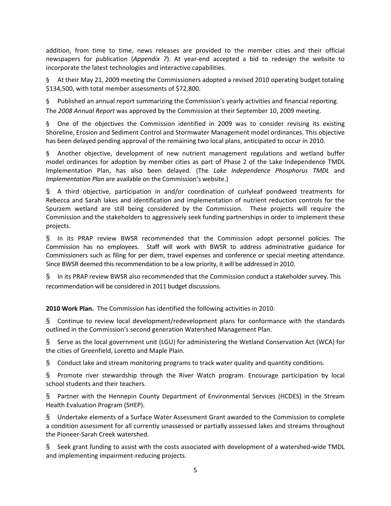addition, from time to time, news releases are provided to the member cities and their official newspapers for publication (*Appendix 7*). At year‐end accepted a bid to redesign the website to incorporate the latest technologies and interactive capabilities.

§ At their May 21, 2009 meeting the Commissioners adopted a revised 2010 operating budget totaling \$134,500, with total member assessments of \$72,800.

§ Published an annual report summarizing the Commission's yearly activities and financial reporting. The *2008 Annual Report* was approved by the Commission at their September 10, 2009 meeting.

§ One of the objectives the Commission identified in 2009 was to consider revising its existing Shoreline, Erosion and Sediment Control and Stormwater Management model ordinances. This objective has been delayed pending approval of the remaining two local plans, anticipated to occur in 2010.

§ Another objective, development of new nutrient management regulations and wetland buffer model ordinances for adoption by member cities as part of Phase 2 of the Lake Independence TMDL Implementation Plan, has also been delayed. (The *Lake Independence Phosphorus TMDL* and *Implementation Plan* are available on the Commission's website.)

§ A third objective, participation in and/or coordination of curlyleaf pondweed treatments for Rebecca and Sarah lakes and identification and implementation of nutrient reduction controls for the Spurzem wetland are still being considered by the Commission. These projects will require the Commission and the stakeholders to aggressively seek funding partnerships in order to implement these projects.

§ In its PRAP review BWSR recommended that the Commission adopt personnel policies. The Commission has no employees. Staff will work with BWSR to address administrative guidance for Commissioners such as filing for per diem, travel expenses and conference or special meeting attendance. Since BWSR deemed this recommendation to be a low priority, it will be addressed in 2010.

§ In its PRAP review BWSR also recommended that the Commission conduct a stakeholder survey. This recommendation will be considered in 2011 budget discussions.

**2010 Work Plan.** The Commission has identified the following activities in 2010:

§ Continue to review local development/redevelopment plans for conformance with the standards outlined in the Commission's second generation Watershed Management Plan.

§ Serve as the local government unit (LGU) for administering the Wetland Conservation Act (WCA) for the cities of Greenfield, Loretto and Maple Plain.

§ Conduct lake and stream monitoring programs to track water quality and quantity conditions.

§ Promote river stewardship through the River Watch program. Encourage participation by local school students and their teachers.

§ Partner with the Hennepin County Department of Environmental Services (HCDES) in the Stream Health Evaluation Program (SHEP).

§ Undertake elements of a Surface Water Assessment Grant awarded to the Commission to complete a condition assessment for all currently unassessed or partially asssessed lakes and streams throughout the Pioneer‐Sarah Creek watershed.

§ Seek grant funding to assist with the costs associated with development of a watershed‐wide TMDL and implementing impairment‐reducing projects.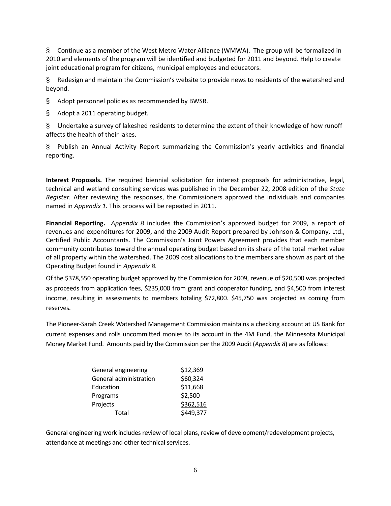§ Continue as a member of the West Metro Water Alliance (WMWA). The group will be formalized in 2010 and elements of the program will be identified and budgeted for 2011 and beyond. Help to create joint educational program for citizens, municipal employees and educators.

§ Redesign and maintain the Commission's website to provide news to residents of the watershed and beyond.

§ Adopt personnel policies as recommended by BWSR.

§ Adopt a 2011 operating budget.

§ Undertake a survey of lakeshed residents to determine the extent of their knowledge of how runoff affects the health of their lakes.

§ Publish an Annual Activity Report summarizing the Commission's yearly activities and financial reporting.

**Interest Proposals.** The required biennial solicitation for interest proposals for administrative, legal, technical and wetland consulting services was published in the December 22, 2008 edition of the *State Register.* After reviewing the responses, the Commissioners approved the individuals and companies named in *Appendix 1.* This process will be repeated in 2011.

**Financial Reporting.**  *Appendix 8* includes the Commission's approved budget for 2009, a report of revenues and expenditures for 2009, and the 2009 Audit Report prepared by Johnson & Company, Ltd., Certified Public Accountants. The Commission's Joint Powers Agreement provides that each member community contributes toward the annual operating budget based on its share of the total market value of all property within the watershed. The 2009 cost allocations to the members are shown as part of the Operating Budget found in *Appendix 8.*

Of the \$378,550 operating budget approved by the Commission for 2009, revenue of \$20,500 was projected as proceeds from application fees, \$235,000 from grant and cooperator funding, and \$4,500 from interest income, resulting in assessments to members totaling \$72,800. \$45,750 was projected as coming from reserves.

The Pioneer‐Sarah Creek Watershed Management Commission maintains a checking account at US Bank for current expenses and rolls uncommitted monies to its account in the 4M Fund, the Minnesota Municipal Money Market Fund. Amounts paid by the Commission per the 2009 Audit (*Appendix 8*) are asfollows:

| General engineering    | \$12,369  |
|------------------------|-----------|
| General administration | \$60,324  |
| Education              | \$11,668  |
| Programs               | \$2,500   |
| Projects               | \$362,516 |
| Total                  | \$449,377 |

General engineering work includes review of local plans, review of development/redevelopment projects, attendance at meetings and other technical services.